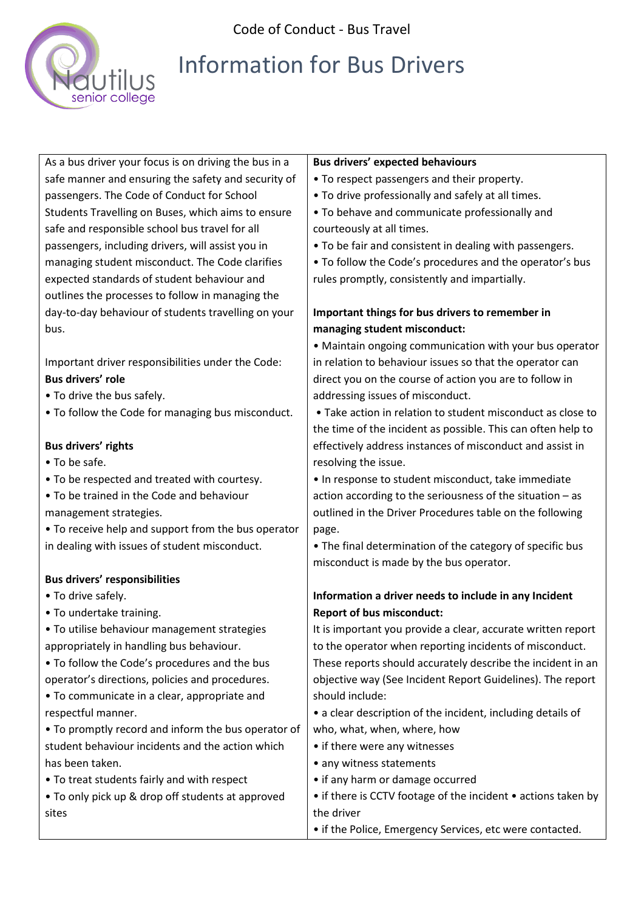

Code of Conduct - Bus Travel

# Information for Bus Drivers

As a bus driver your focus is on driving the bus in a safe manner and ensuring the safety and security of passengers. The Code of Conduct for School Students Travelling on Buses, which aims to ensure safe and responsible school bus travel for all passengers, including drivers, will assist you in managing student misconduct. The Code clarifies expected standards of student behaviour and outlines the processes to follow in managing the day-to-day behaviour of students travelling on your bus.

Important driver responsibilities under the Code: **Bus drivers' role** 

- To drive the bus safely.
- To follow the Code for managing bus misconduct.

#### **Bus drivers' rights**

- To be safe.
- To be respected and treated with courtesy.
- To be trained in the Code and behaviour management strategies.
- To receive help and support from the bus operator in dealing with issues of student misconduct.

### **Bus drivers' responsibilities**

- To drive safely.
- To undertake training.
- To utilise behaviour management strategies appropriately in handling bus behaviour.
- To follow the Code's procedures and the bus operator's directions, policies and procedures.
- To communicate in a clear, appropriate and respectful manner.
- To promptly record and inform the bus operator of student behaviour incidents and the action which has been taken.
- To treat students fairly and with respect
- To only pick up & drop off students at approved sites

#### **Bus drivers' expected behaviours**

- To respect passengers and their property.
- To drive professionally and safely at all times.
- To behave and communicate professionally and courteously at all times.
- To be fair and consistent in dealing with passengers.
- To follow the Code's procedures and the operator's bus rules promptly, consistently and impartially.

## **Important things for bus drivers to remember in managing student misconduct:**

• Maintain ongoing communication with your bus operator in relation to behaviour issues so that the operator can direct you on the course of action you are to follow in addressing issues of misconduct.

• Take action in relation to student misconduct as close to the time of the incident as possible. This can often help to effectively address instances of misconduct and assist in resolving the issue.

• In response to student misconduct, take immediate action according to the seriousness of the situation – as outlined in the Driver Procedures table on the following page.

• The final determination of the category of specific bus misconduct is made by the bus operator.

# **Information a driver needs to include in any Incident Report of bus misconduct:**

It is important you provide a clear, accurate written report to the operator when reporting incidents of misconduct. These reports should accurately describe the incident in an objective way (See Incident Report Guidelines). The report should include:

- a clear description of the incident, including details of who, what, when, where, how
- if there were any witnesses
- any witness statements
- if any harm or damage occurred
- if there is CCTV footage of the incident actions taken by the driver
- if the Police, Emergency Services, etc were contacted.